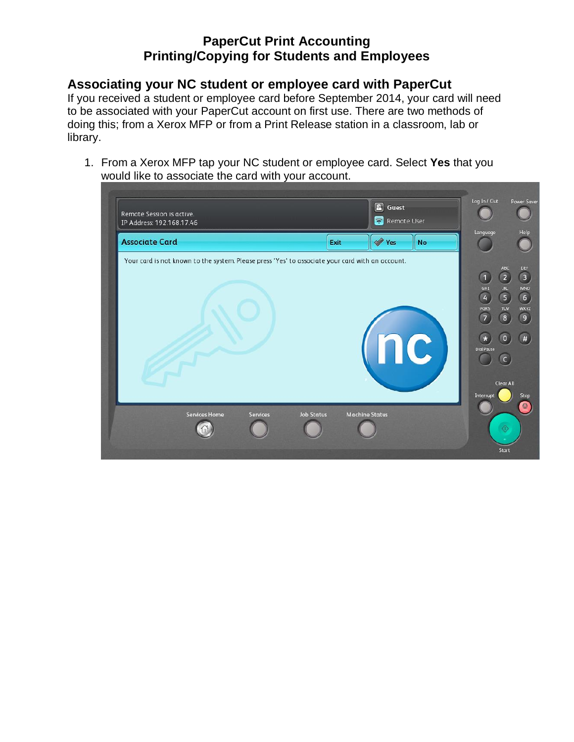## **Associating your NC student or employee card with PaperCut**

If you received a student or employee card before September 2014, your card will need to be associated with your PaperCut account on first use. There are two methods of doing this; from a Xerox MFP or from a Print Release station in a classroom, lab or library.

1. From a Xerox MFP tap your NC student or employee card. Select **Yes** that you would like to associate the card with your account.

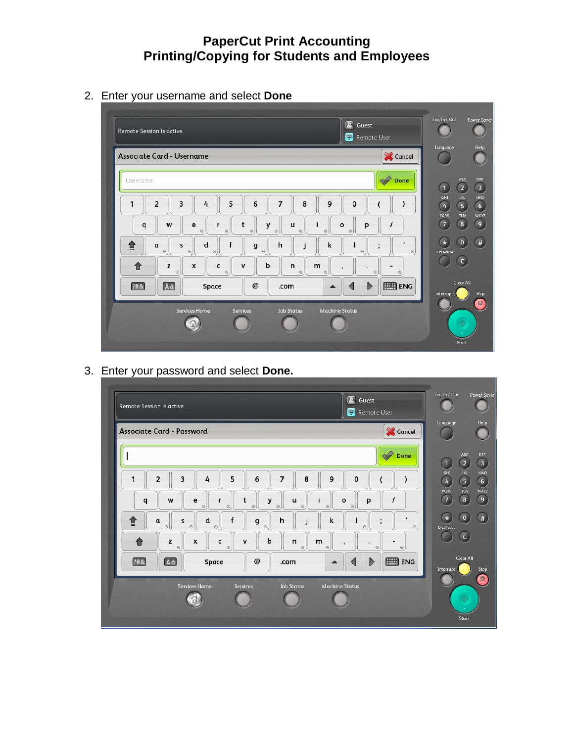2. Enter your username and select **Done**



3. Enter your password and select **Done.**

| $\boxed{\mathbf{2}}$<br>Guest<br>Remote Session is active.<br>Remote User                                                                                                                                                                                                                                                                                                                                                                                                                                                                                                                                                   | Log In / Out<br><b>Power Saver</b>                                                                                                                                                                                            |
|-----------------------------------------------------------------------------------------------------------------------------------------------------------------------------------------------------------------------------------------------------------------------------------------------------------------------------------------------------------------------------------------------------------------------------------------------------------------------------------------------------------------------------------------------------------------------------------------------------------------------------|-------------------------------------------------------------------------------------------------------------------------------------------------------------------------------------------------------------------------------|
| Cancel<br><b>Associate Card - Password</b>                                                                                                                                                                                                                                                                                                                                                                                                                                                                                                                                                                                  | Help<br>Language                                                                                                                                                                                                              |
| Done                                                                                                                                                                                                                                                                                                                                                                                                                                                                                                                                                                                                                        | ABC<br><b>DEF</b><br>$\sqrt{3}$<br>$\overline{2}$<br>$\mathbf 0$                                                                                                                                                              |
| 5<br>$\overline{2}$<br>3<br>8<br>9<br>1<br>6<br>$\overline{7}$<br>4<br>0<br>y<br>W<br>e<br>t<br>u<br>p<br>q<br>r<br>$\mathbf{o}$<br>$\odot$<br>$\odot$<br>$\circledcirc$<br>$\odot$<br>$\odot$<br>$\odot$<br>$\odot$<br>$\mathbf{r}$<br>f<br>✿<br>d<br>h<br>k<br>$\mathfrak a$<br>g<br>s<br>ı<br>$\odot$<br>$\odot$<br>$\circledcirc$<br>$\odot$<br>$\odot$<br>$_{\odot}$<br>b<br>$\mathsf{n}$<br>z<br>X<br>c<br>m<br>$\mathbf{v}$<br>徻<br>٠<br>$\odot$<br>$\odot$<br>$\odot$<br>$\odot$<br>$\odot$<br>$_{\odot}$<br>EB ENG<br>Áά<br>[?#8]<br>$^{\copyright}$<br>$\triangleright$<br>Space<br>.com<br>$\blacktriangle$<br>◁ | GHI<br><b>MNO</b><br><b>JKL</b><br>$6\overline{6}$<br>$\sqrt{5}$<br>$\overline{4}$<br>WXYZ<br>PQRS<br>TUV<br>9<br>$\sqrt{7}$<br>$\mathbf{8}$<br>$\#$<br>$\circ$<br><b>Dial Pause</b><br>(c)<br>Clear All<br>Stop<br>Interrupt |
| Services Home<br><b>Job Status</b><br><b>Machine Status</b><br><b>Services</b><br>ſω                                                                                                                                                                                                                                                                                                                                                                                                                                                                                                                                        | $\circledcirc$<br>Start                                                                                                                                                                                                       |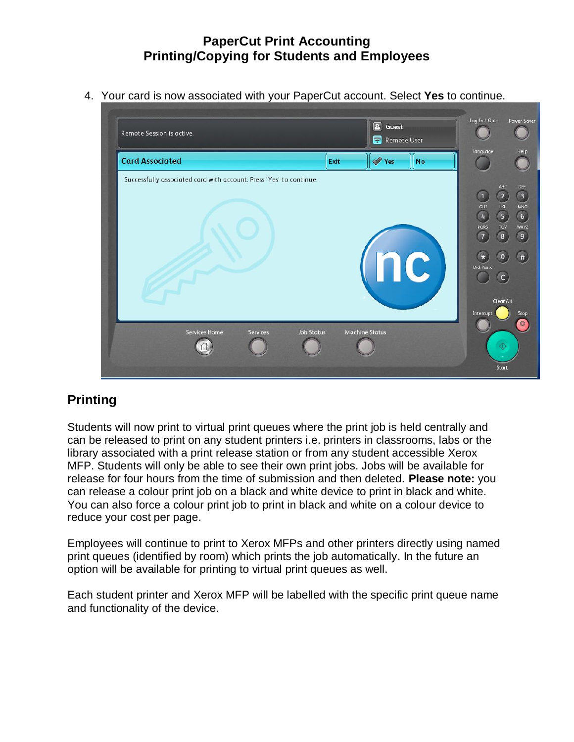4. Your card is now associated with your PaperCut account. Select **Yes** to continue.



# **Printing**

Students will now print to virtual print queues where the print job is held centrally and can be released to print on any student printers i.e. printers in classrooms, labs or the library associated with a print release station or from any student accessible Xerox MFP. Students will only be able to see their own print jobs. Jobs will be available for release for four hours from the time of submission and then deleted. **Please note:** you can release a colour print job on a black and white device to print in black and white. You can also force a colour print job to print in black and white on a colour device to reduce your cost per page.

Employees will continue to print to Xerox MFPs and other printers directly using named print queues (identified by room) which prints the job automatically. In the future an option will be available for printing to virtual print queues as well.

Each student printer and Xerox MFP will be labelled with the specific print queue name and functionality of the device.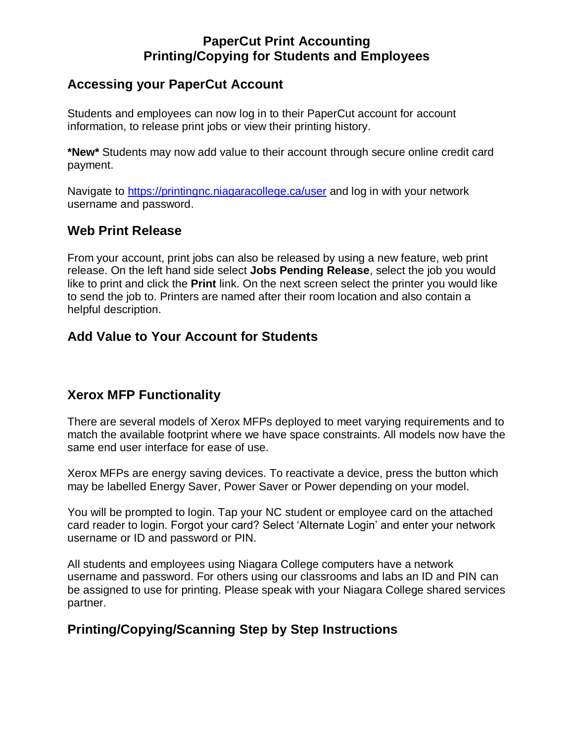#### **Accessing your PaperCut Account**

Students and employees can now log in to their PaperCut account for account information, to release print jobs or view their printing history.

**\*New\*** Students may now add value to their account through secure online credit card payment.

Navigate to<https://printingnc.niagaracollege.ca/user> and log in with your network username and password.

#### **Web Print Release**

From your account, print jobs can also be released by using a new feature, web print release. On the left hand side select **Jobs Pending Release**, select the job you would like to print and click the **Print** link. On the next screen select the printer you would like to send the job to. Printers are named after their room location and also contain a helpful description.

## **Add Value to Your Account for Students**

## **Xerox MFP Functionality**

There are several models of Xerox MFPs deployed to meet varying requirements and to match the available footprint where we have space constraints. All models now have the same end user interface for ease of use.

Xerox MFPs are energy saving devices. To reactivate a device, press the button which may be labelled Energy Saver, Power Saver or Power depending on your model.

You will be prompted to login. Tap your NC student or employee card on the attached card reader to login. Forgot your card? Select 'Alternate Login' and enter your network username or ID and password or PIN.

All students and employees using Niagara College computers have a network username and password. For others using our classrooms and labs an ID and PIN can be assigned to use for printing. Please speak with your Niagara College shared services partner.

## **Printing/Copying/Scanning Step by Step Instructions**